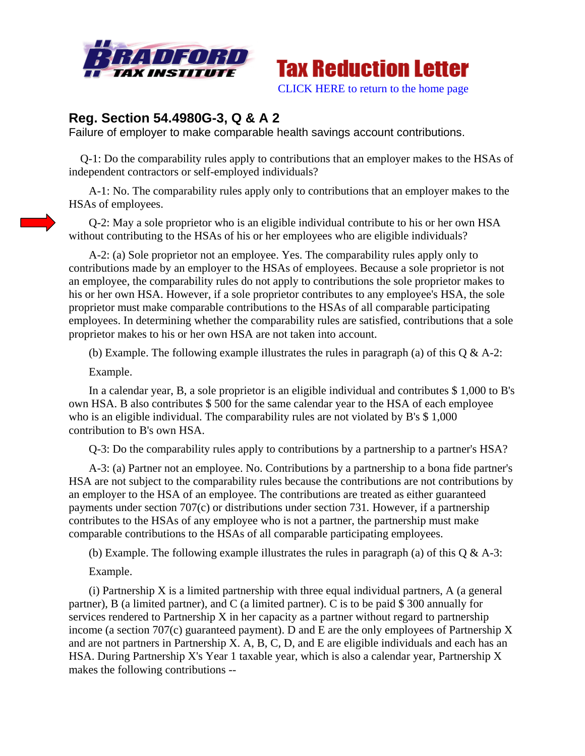



# **Reg. Section 54.4980G-3, Q & A 2**

Failure of employer to make comparable health savings account contributions.

 Q-1: Do the comparability rules apply to contributions that an employer makes to the HSAs of independent contractors or self-employed individuals?

 A-1: No. The comparability rules apply only to contributions that an employer makes to the HSAs of employees.

 Q-2: May a sole proprietor who is an eligible individual contribute to his or her own HSA without contributing to the HSAs of his or her employees who are eligible individuals?

 A-2: (a) Sole proprietor not an employee. Yes. The comparability rules apply only to contributions made by an employer to the HSAs of employees. Because a sole proprietor is not an employee, the comparability rules do not apply to contributions the sole proprietor makes to his or her own HSA. However, if a sole proprietor contributes to any employee's HSA, the sole proprietor must make comparable contributions to the HSAs of all comparable participating employees. In determining whether the comparability rules are satisfied, contributions that a sole proprietor makes to his or her own HSA are not taken into account.

(b) Example. The following example illustrates the rules in paragraph (a) of this  $Q \& A-2$ :

Example.

 In a calendar year, B, a sole proprietor is an eligible individual and contributes \$ 1,000 to B's own HSA. B also contributes \$ 500 for the same calendar year to the HSA of each employee who is an eligible individual. The comparability rules are not violated by B's \$1,000 contribution to B's own HSA.

Q-3: Do the comparability rules apply to contributions by a partnership to a partner's HSA?

 A-3: (a) Partner not an employee. No. Contributions by a partnership to a bona fide partner's HSA are not subject to the comparability rules because the contributions are not contributions by an employer to the HSA of an employee. The contributions are treated as either guaranteed payments under section 707(c) or distributions under section 731*.* However, if a partnership contributes to the HSAs of any employee who is not a partner, the partnership must make comparable contributions to the HSAs of all comparable participating employees.

(b) Example. The following example illustrates the rules in paragraph (a) of this  $\mathcal{O} \& A-3$ :

Example.

 (i) Partnership X is a limited partnership with three equal individual partners, A (a general partner), B (a limited partner), and C (a limited partner). C is to be paid \$ 300 annually for services rendered to Partnership X in her capacity as a partner without regard to partnership income (a section 707(c) guaranteed payment). D and E are the only employees of Partnership X and are not partners in Partnership X. A, B, C, D, and E are eligible individuals and each has an HSA. During Partnership X's Year 1 taxable year, which is also a calendar year, Partnership X makes the following contributions --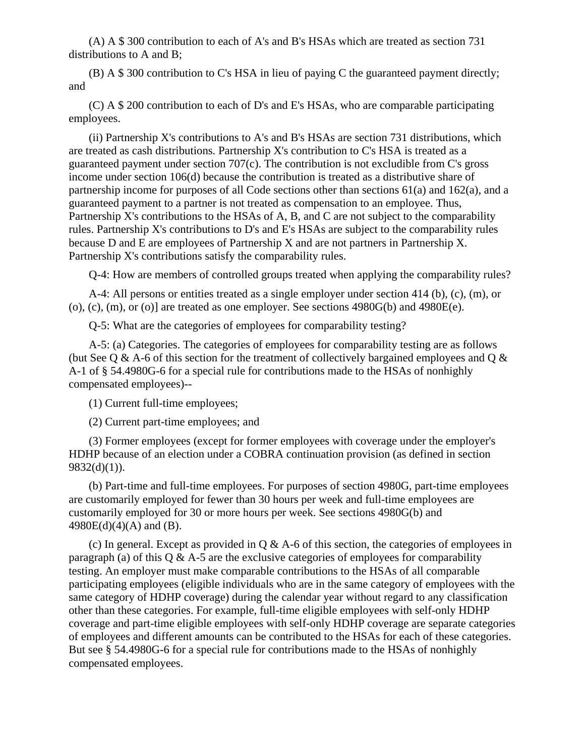(A) A \$ 300 contribution to each of A's and B's HSAs which are treated as section 731 distributions to A and B;

 (B) A \$ 300 contribution to C's HSA in lieu of paying C the guaranteed payment directly; and

 (C) A \$ 200 contribution to each of D's and E's HSAs, who are comparable participating employees.

 (ii) Partnership X's contributions to A's and B's HSAs are section 731 distributions, which are treated as cash distributions. Partnership X's contribution to C's HSA is treated as a guaranteed payment under section 707(c). The contribution is not excludible from C's gross income under section 106(d) because the contribution is treated as a distributive share of partnership income for purposes of all Code sections other than sections 61(a) and 162(a), and a guaranteed payment to a partner is not treated as compensation to an employee. Thus, Partnership X's contributions to the HSAs of A, B, and C are not subject to the comparability rules. Partnership X's contributions to D's and E's HSAs are subject to the comparability rules because D and E are employees of Partnership X and are not partners in Partnership X. Partnership X's contributions satisfy the comparability rules.

Q-4: How are members of controlled groups treated when applying the comparability rules?

 A-4: All persons or entities treated as a single employer under section 414 (b), (c), (m), or  $(0)$ ,  $(c)$ ,  $(m)$ ,  $(0)$  are treated as one employer. See sections 4980G(b) and 4980E(e).

Q-5: What are the categories of employees for comparability testing?

 A-5: (a) Categories. The categories of employees for comparability testing are as follows (but See Q & A-6 of this section for the treatment of collectively bargained employees and Q  $\&$ A-1 of § 54.4980G-6 for a special rule for contributions made to the HSAs of nonhighly compensated employees)--

(1) Current full-time employees;

(2) Current part-time employees; and

 (3) Former employees (except for former employees with coverage under the employer's HDHP because of an election under a COBRA continuation provision (as defined in section  $9832(d)(1)$ ).

 (b) Part-time and full-time employees. For purposes of section 4980G*,* part-time employees are customarily employed for fewer than 30 hours per week and full-time employees are customarily employed for 30 or more hours per week. See sections 4980G(b) and 4980E(d)(4)(A) and (B).

(c) In general. Except as provided in  $Q \& A-6$  of this section, the categories of employees in paragraph (a) of this  $Q \& A-5$  are the exclusive categories of employees for comparability testing. An employer must make comparable contributions to the HSAs of all comparable participating employees (eligible individuals who are in the same category of employees with the same category of HDHP coverage) during the calendar year without regard to any classification other than these categories. For example, full-time eligible employees with self-only HDHP coverage and part-time eligible employees with self-only HDHP coverage are separate categories of employees and different amounts can be contributed to the HSAs for each of these categories. But see § 54.4980G-6 for a special rule for contributions made to the HSAs of nonhighly compensated employees.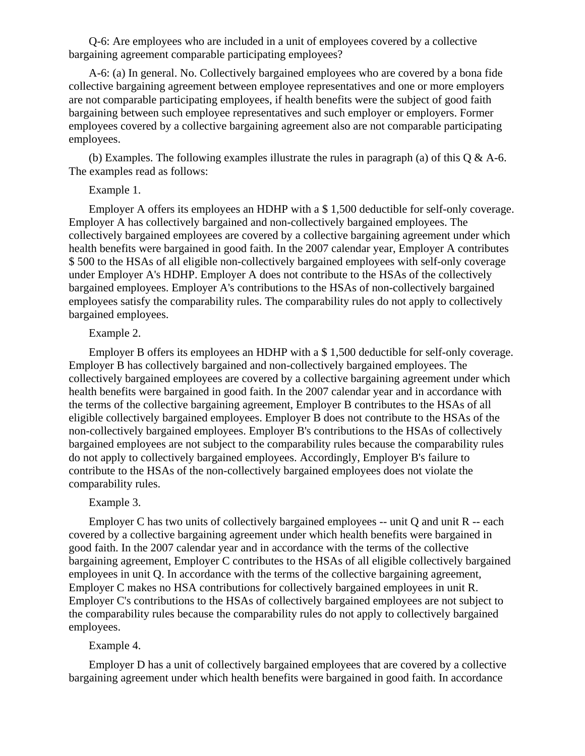Q-6: Are employees who are included in a unit of employees covered by a collective bargaining agreement comparable participating employees?

 A-6: (a) In general. No. Collectively bargained employees who are covered by a bona fide collective bargaining agreement between employee representatives and one or more employers are not comparable participating employees, if health benefits were the subject of good faith bargaining between such employee representatives and such employer or employers. Former employees covered by a collective bargaining agreement also are not comparable participating employees.

(b) Examples. The following examples illustrate the rules in paragraph (a) of this  $Q \& A-6$ . The examples read as follows:

### Example 1.

 Employer A offers its employees an HDHP with a \$ 1,500 deductible for self-only coverage. Employer A has collectively bargained and non-collectively bargained employees. The collectively bargained employees are covered by a collective bargaining agreement under which health benefits were bargained in good faith. In the 2007 calendar year, Employer A contributes \$ 500 to the HSAs of all eligible non-collectively bargained employees with self-only coverage under Employer A's HDHP. Employer A does not contribute to the HSAs of the collectively bargained employees. Employer A's contributions to the HSAs of non-collectively bargained employees satisfy the comparability rules. The comparability rules do not apply to collectively bargained employees.

# Example 2.

 Employer B offers its employees an HDHP with a \$ 1,500 deductible for self-only coverage. Employer B has collectively bargained and non-collectively bargained employees. The collectively bargained employees are covered by a collective bargaining agreement under which health benefits were bargained in good faith. In the 2007 calendar year and in accordance with the terms of the collective bargaining agreement, Employer B contributes to the HSAs of all eligible collectively bargained employees. Employer B does not contribute to the HSAs of the non-collectively bargained employees. Employer B's contributions to the HSAs of collectively bargained employees are not subject to the comparability rules because the comparability rules do not apply to collectively bargained employees. Accordingly, Employer B's failure to contribute to the HSAs of the non-collectively bargained employees does not violate the comparability rules.

#### Example 3.

 Employer C has two units of collectively bargained employees -- unit Q and unit R -- each covered by a collective bargaining agreement under which health benefits were bargained in good faith. In the 2007 calendar year and in accordance with the terms of the collective bargaining agreement, Employer C contributes to the HSAs of all eligible collectively bargained employees in unit Q. In accordance with the terms of the collective bargaining agreement, Employer C makes no HSA contributions for collectively bargained employees in unit R. Employer C's contributions to the HSAs of collectively bargained employees are not subject to the comparability rules because the comparability rules do not apply to collectively bargained employees.

### Example 4.

 Employer D has a unit of collectively bargained employees that are covered by a collective bargaining agreement under which health benefits were bargained in good faith. In accordance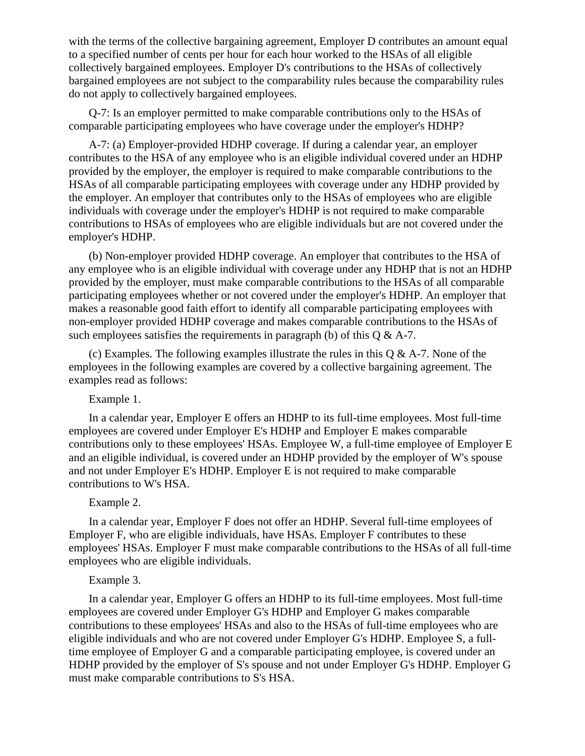with the terms of the collective bargaining agreement, Employer D contributes an amount equal to a specified number of cents per hour for each hour worked to the HSAs of all eligible collectively bargained employees. Employer D's contributions to the HSAs of collectively bargained employees are not subject to the comparability rules because the comparability rules do not apply to collectively bargained employees.

 Q-7: Is an employer permitted to make comparable contributions only to the HSAs of comparable participating employees who have coverage under the employer's HDHP?

 A-7: (a) Employer-provided HDHP coverage. If during a calendar year, an employer contributes to the HSA of any employee who is an eligible individual covered under an HDHP provided by the employer, the employer is required to make comparable contributions to the HSAs of all comparable participating employees with coverage under any HDHP provided by the employer. An employer that contributes only to the HSAs of employees who are eligible individuals with coverage under the employer's HDHP is not required to make comparable contributions to HSAs of employees who are eligible individuals but are not covered under the employer's HDHP.

 (b) Non-employer provided HDHP coverage. An employer that contributes to the HSA of any employee who is an eligible individual with coverage under any HDHP that is not an HDHP provided by the employer, must make comparable contributions to the HSAs of all comparable participating employees whether or not covered under the employer's HDHP. An employer that makes a reasonable good faith effort to identify all comparable participating employees with non-employer provided HDHP coverage and makes comparable contributions to the HSAs of such employees satisfies the requirements in paragraph (b) of this  $Q & A-7$ .

(c) Examples. The following examples illustrate the rules in this  $Q & A-7$ . None of the employees in the following examples are covered by a collective bargaining agreement. The examples read as follows:

Example 1.

 In a calendar year, Employer E offers an HDHP to its full-time employees. Most full-time employees are covered under Employer E's HDHP and Employer E makes comparable contributions only to these employees' HSAs. Employee W, a full-time employee of Employer E and an eligible individual, is covered under an HDHP provided by the employer of W's spouse and not under Employer E's HDHP. Employer E is not required to make comparable contributions to W's HSA.

#### Example 2.

 In a calendar year, Employer F does not offer an HDHP. Several full-time employees of Employer F, who are eligible individuals, have HSAs. Employer F contributes to these employees' HSAs. Employer F must make comparable contributions to the HSAs of all full-time employees who are eligible individuals.

#### Example 3.

 In a calendar year, Employer G offers an HDHP to its full-time employees. Most full-time employees are covered under Employer G's HDHP and Employer G makes comparable contributions to these employees' HSAs and also to the HSAs of full-time employees who are eligible individuals and who are not covered under Employer G's HDHP. Employee S, a fulltime employee of Employer G and a comparable participating employee, is covered under an HDHP provided by the employer of S's spouse and not under Employer G's HDHP. Employer G must make comparable contributions to S's HSA.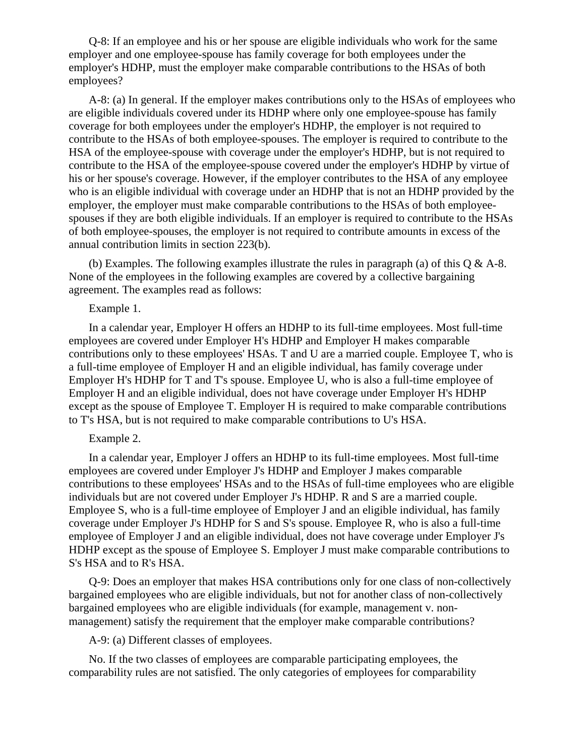Q-8: If an employee and his or her spouse are eligible individuals who work for the same employer and one employee-spouse has family coverage for both employees under the employer's HDHP, must the employer make comparable contributions to the HSAs of both employees?

 A-8: (a) In general. If the employer makes contributions only to the HSAs of employees who are eligible individuals covered under its HDHP where only one employee-spouse has family coverage for both employees under the employer's HDHP, the employer is not required to contribute to the HSAs of both employee-spouses. The employer is required to contribute to the HSA of the employee-spouse with coverage under the employer's HDHP, but is not required to contribute to the HSA of the employee-spouse covered under the employer's HDHP by virtue of his or her spouse's coverage. However, if the employer contributes to the HSA of any employee who is an eligible individual with coverage under an HDHP that is not an HDHP provided by the employer, the employer must make comparable contributions to the HSAs of both employeespouses if they are both eligible individuals. If an employer is required to contribute to the HSAs of both employee-spouses, the employer is not required to contribute amounts in excess of the annual contribution limits in section 223(b).

 (b) Examples. The following examples illustrate the rules in paragraph (a) of this Q & A-8. None of the employees in the following examples are covered by a collective bargaining agreement. The examples read as follows:

#### Example 1.

 In a calendar year, Employer H offers an HDHP to its full-time employees. Most full-time employees are covered under Employer H's HDHP and Employer H makes comparable contributions only to these employees' HSAs. T and U are a married couple. Employee T, who is a full-time employee of Employer H and an eligible individual, has family coverage under Employer H's HDHP for T and T's spouse. Employee U, who is also a full-time employee of Employer H and an eligible individual, does not have coverage under Employer H's HDHP except as the spouse of Employee T. Employer H is required to make comparable contributions to T's HSA, but is not required to make comparable contributions to U's HSA.

#### Example 2.

 In a calendar year, Employer J offers an HDHP to its full-time employees. Most full-time employees are covered under Employer J's HDHP and Employer J makes comparable contributions to these employees' HSAs and to the HSAs of full-time employees who are eligible individuals but are not covered under Employer J's HDHP. R and S are a married couple. Employee S, who is a full-time employee of Employer J and an eligible individual, has family coverage under Employer J's HDHP for S and S's spouse. Employee R, who is also a full-time employee of Employer J and an eligible individual, does not have coverage under Employer J's HDHP except as the spouse of Employee S. Employer J must make comparable contributions to S's HSA and to R's HSA.

 Q-9: Does an employer that makes HSA contributions only for one class of non-collectively bargained employees who are eligible individuals, but not for another class of non-collectively bargained employees who are eligible individuals (for example, management v. nonmanagement) satisfy the requirement that the employer make comparable contributions?

A-9: (a) Different classes of employees.

 No. If the two classes of employees are comparable participating employees, the comparability rules are not satisfied. The only categories of employees for comparability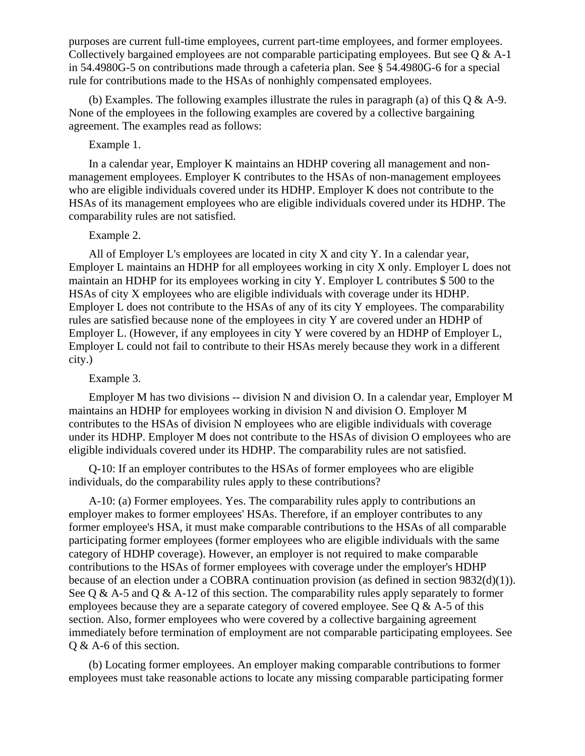purposes are current full-time employees, current part-time employees, and former employees. Collectively bargained employees are not comparable participating employees. But see Q & A-1 in 54.4980G-5 on contributions made through a cafeteria plan. See § 54.4980G-6 for a special rule for contributions made to the HSAs of nonhighly compensated employees.

(b) Examples. The following examples illustrate the rules in paragraph (a) of this  $Q \& A-9$ . None of the employees in the following examples are covered by a collective bargaining agreement. The examples read as follows:

### Example 1.

 In a calendar year, Employer K maintains an HDHP covering all management and nonmanagement employees. Employer K contributes to the HSAs of non-management employees who are eligible individuals covered under its HDHP. Employer K does not contribute to the HSAs of its management employees who are eligible individuals covered under its HDHP. The comparability rules are not satisfied.

### Example 2.

 All of Employer L's employees are located in city X and city Y. In a calendar year, Employer L maintains an HDHP for all employees working in city X only. Employer L does not maintain an HDHP for its employees working in city Y. Employer L contributes \$ 500 to the HSAs of city X employees who are eligible individuals with coverage under its HDHP. Employer L does not contribute to the HSAs of any of its city Y employees. The comparability rules are satisfied because none of the employees in city Y are covered under an HDHP of Employer L. (However, if any employees in city Y were covered by an HDHP of Employer L, Employer L could not fail to contribute to their HSAs merely because they work in a different city.)

### Example 3.

 Employer M has two divisions -- division N and division O. In a calendar year, Employer M maintains an HDHP for employees working in division N and division O. Employer M contributes to the HSAs of division N employees who are eligible individuals with coverage under its HDHP. Employer M does not contribute to the HSAs of division O employees who are eligible individuals covered under its HDHP. The comparability rules are not satisfied.

 Q-10: If an employer contributes to the HSAs of former employees who are eligible individuals, do the comparability rules apply to these contributions?

 A-10: (a) Former employees. Yes. The comparability rules apply to contributions an employer makes to former employees' HSAs. Therefore, if an employer contributes to any former employee's HSA, it must make comparable contributions to the HSAs of all comparable participating former employees (former employees who are eligible individuals with the same category of HDHP coverage). However, an employer is not required to make comparable contributions to the HSAs of former employees with coverage under the employer's HDHP because of an election under a COBRA continuation provision (as defined in section 9832(d)(1)). See Q & A-5 and Q & A-12 of this section. The comparability rules apply separately to former employees because they are a separate category of covered employee. See  $\overline{O} \& A-5$  of this section. Also, former employees who were covered by a collective bargaining agreement immediately before termination of employment are not comparable participating employees. See Q & A-6 of this section.

 (b) Locating former employees. An employer making comparable contributions to former employees must take reasonable actions to locate any missing comparable participating former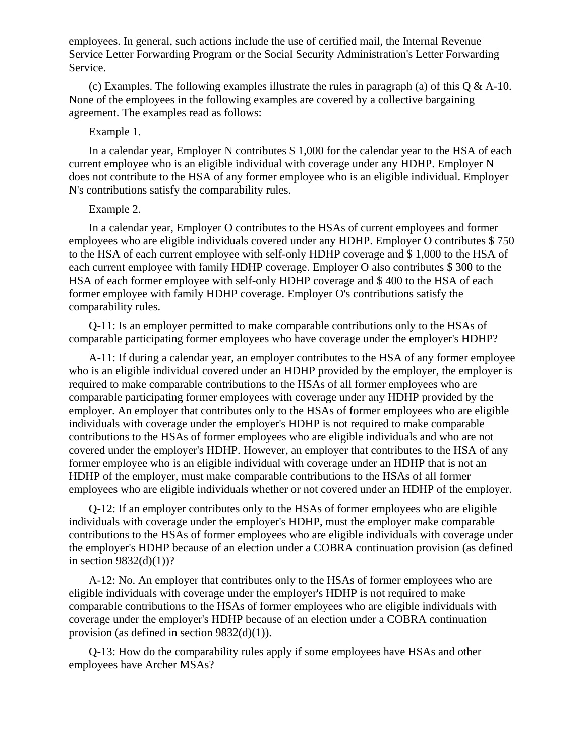employees. In general, such actions include the use of certified mail, the Internal Revenue Service Letter Forwarding Program or the Social Security Administration's Letter Forwarding Service.

(c) Examples. The following examples illustrate the rules in paragraph (a) of this  $Q \& A-10$ . None of the employees in the following examples are covered by a collective bargaining agreement. The examples read as follows:

# Example 1.

 In a calendar year, Employer N contributes \$ 1,000 for the calendar year to the HSA of each current employee who is an eligible individual with coverage under any HDHP. Employer N does not contribute to the HSA of any former employee who is an eligible individual. Employer N's contributions satisfy the comparability rules.

#### Example 2.

 In a calendar year, Employer O contributes to the HSAs of current employees and former employees who are eligible individuals covered under any HDHP. Employer O contributes \$ 750 to the HSA of each current employee with self-only HDHP coverage and \$ 1,000 to the HSA of each current employee with family HDHP coverage. Employer O also contributes \$ 300 to the HSA of each former employee with self-only HDHP coverage and \$ 400 to the HSA of each former employee with family HDHP coverage. Employer O's contributions satisfy the comparability rules.

 Q-11: Is an employer permitted to make comparable contributions only to the HSAs of comparable participating former employees who have coverage under the employer's HDHP?

 A-11: If during a calendar year, an employer contributes to the HSA of any former employee who is an eligible individual covered under an HDHP provided by the employer, the employer is required to make comparable contributions to the HSAs of all former employees who are comparable participating former employees with coverage under any HDHP provided by the employer. An employer that contributes only to the HSAs of former employees who are eligible individuals with coverage under the employer's HDHP is not required to make comparable contributions to the HSAs of former employees who are eligible individuals and who are not covered under the employer's HDHP. However, an employer that contributes to the HSA of any former employee who is an eligible individual with coverage under an HDHP that is not an HDHP of the employer, must make comparable contributions to the HSAs of all former employees who are eligible individuals whether or not covered under an HDHP of the employer.

 Q-12: If an employer contributes only to the HSAs of former employees who are eligible individuals with coverage under the employer's HDHP, must the employer make comparable contributions to the HSAs of former employees who are eligible individuals with coverage under the employer's HDHP because of an election under a COBRA continuation provision (as defined in section  $9832(d)(1)$ ?

 A-12: No. An employer that contributes only to the HSAs of former employees who are eligible individuals with coverage under the employer's HDHP is not required to make comparable contributions to the HSAs of former employees who are eligible individuals with coverage under the employer's HDHP because of an election under a COBRA continuation provision (as defined in section 9832(d)(1)).

 Q-13: How do the comparability rules apply if some employees have HSAs and other employees have Archer MSAs?